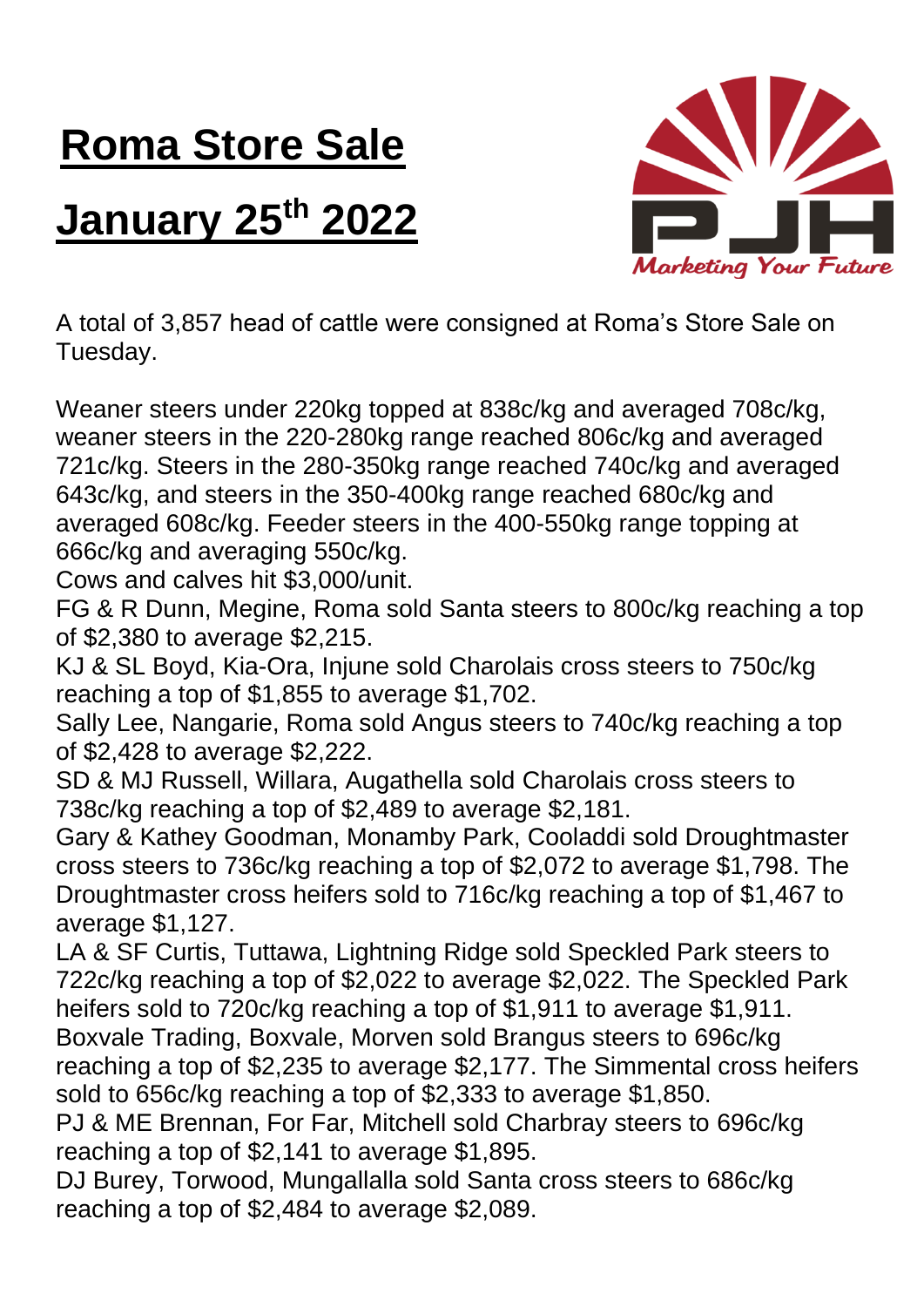## **Roma Store Sale**

## **January 25th 2022**



A total of 3,857 head of cattle were consigned at Roma's Store Sale on Tuesday.

Weaner steers under 220kg topped at 838c/kg and averaged 708c/kg, weaner steers in the 220-280kg range reached 806c/kg and averaged 721c/kg. Steers in the 280-350kg range reached 740c/kg and averaged 643c/kg, and steers in the 350-400kg range reached 680c/kg and averaged 608c/kg. Feeder steers in the 400-550kg range topping at 666c/kg and averaging 550c/kg.

Cows and calves hit \$3,000/unit.

FG & R Dunn, Megine, Roma sold Santa steers to 800c/kg reaching a top of \$2,380 to average \$2,215.

KJ & SL Boyd, Kia-Ora, Injune sold Charolais cross steers to 750c/kg reaching a top of \$1,855 to average \$1,702.

Sally Lee, Nangarie, Roma sold Angus steers to 740c/kg reaching a top of \$2,428 to average \$2,222.

SD & MJ Russell, Willara, Augathella sold Charolais cross steers to 738c/kg reaching a top of \$2,489 to average \$2,181.

Gary & Kathey Goodman, Monamby Park, Cooladdi sold Droughtmaster cross steers to 736c/kg reaching a top of \$2,072 to average \$1,798. The Droughtmaster cross heifers sold to 716c/kg reaching a top of \$1,467 to average \$1,127.

LA & SF Curtis, Tuttawa, Lightning Ridge sold Speckled Park steers to 722c/kg reaching a top of \$2,022 to average \$2,022. The Speckled Park heifers sold to 720c/kg reaching a top of \$1,911 to average \$1,911. Boxvale Trading, Boxvale, Morven sold Brangus steers to 696c/kg

reaching a top of \$2,235 to average \$2,177. The Simmental cross heifers sold to 656c/kg reaching a top of \$2,333 to average \$1,850.

PJ & ME Brennan, For Far, Mitchell sold Charbray steers to 696c/kg reaching a top of \$2,141 to average \$1,895.

DJ Burey, Torwood, Mungallalla sold Santa cross steers to 686c/kg reaching a top of \$2,484 to average \$2,089.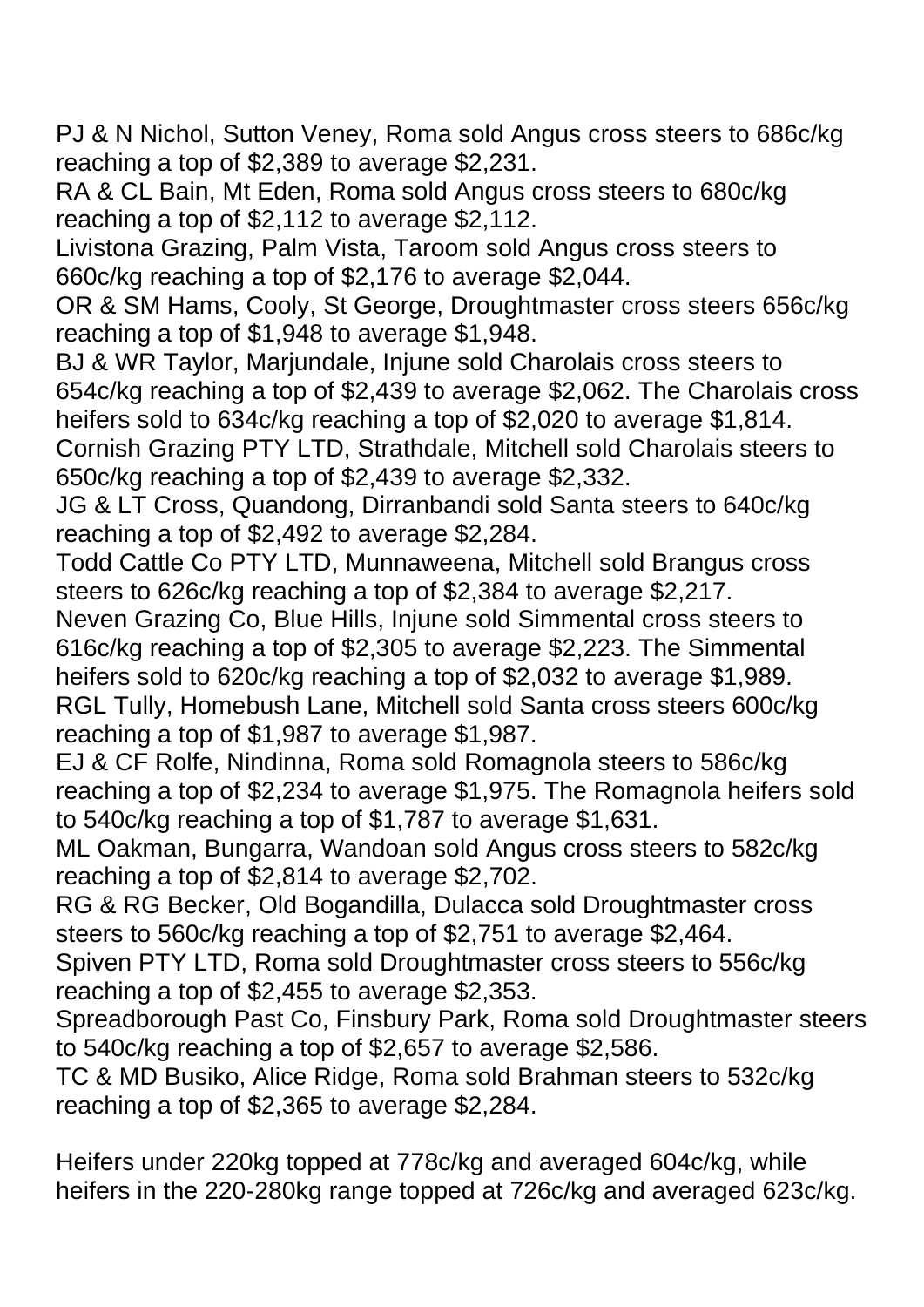PJ & N Nichol, Sutton Veney, Roma sold Angus cross steers to 686c/kg reaching a top of \$2,389 to average \$2,231.

RA & CL Bain, Mt Eden, Roma sold Angus cross steers to 680c/kg reaching a top of \$2,112 to average \$2,112.

Livistona Grazing, Palm Vista, Taroom sold Angus cross steers to 660c/kg reaching a top of \$2,176 to average \$2,044.

OR & SM Hams, Cooly, St George, Droughtmaster cross steers 656c/kg reaching a top of \$1,948 to average \$1,948.

BJ & WR Taylor, Marjundale, Injune sold Charolais cross steers to 654c/kg reaching a top of \$2,439 to average \$2,062. The Charolais cross heifers sold to 634c/kg reaching a top of \$2,020 to average \$1,814. Cornish Grazing PTY LTD, Strathdale, Mitchell sold Charolais steers to

650c/kg reaching a top of \$2,439 to average \$2,332.

JG & LT Cross, Quandong, Dirranbandi sold Santa steers to 640c/kg reaching a top of \$2,492 to average \$2,284.

Todd Cattle Co PTY LTD, Munnaweena, Mitchell sold Brangus cross steers to 626c/kg reaching a top of \$2,384 to average \$2,217.

Neven Grazing Co, Blue Hills, Injune sold Simmental cross steers to 616c/kg reaching a top of \$2,305 to average \$2,223. The Simmental heifers sold to 620c/kg reaching a top of \$2,032 to average \$1,989. RGL Tully, Homebush Lane, Mitchell sold Santa cross steers 600c/kg reaching a top of \$1,987 to average \$1,987.

EJ & CF Rolfe, Nindinna, Roma sold Romagnola steers to 586c/kg reaching a top of \$2,234 to average \$1,975. The Romagnola heifers sold to 540c/kg reaching a top of \$1,787 to average \$1,631.

ML Oakman, Bungarra, Wandoan sold Angus cross steers to 582c/kg reaching a top of \$2,814 to average \$2,702.

RG & RG Becker, Old Bogandilla, Dulacca sold Droughtmaster cross steers to 560c/kg reaching a top of \$2,751 to average \$2,464.

Spiven PTY LTD, Roma sold Droughtmaster cross steers to 556c/kg reaching a top of \$2,455 to average \$2,353.

Spreadborough Past Co, Finsbury Park, Roma sold Droughtmaster steers to 540c/kg reaching a top of \$2,657 to average \$2,586.

TC & MD Busiko, Alice Ridge, Roma sold Brahman steers to 532c/kg reaching a top of \$2,365 to average \$2,284.

Heifers under 220kg topped at 778c/kg and averaged 604c/kg, while heifers in the 220-280kg range topped at 726c/kg and averaged 623c/kg.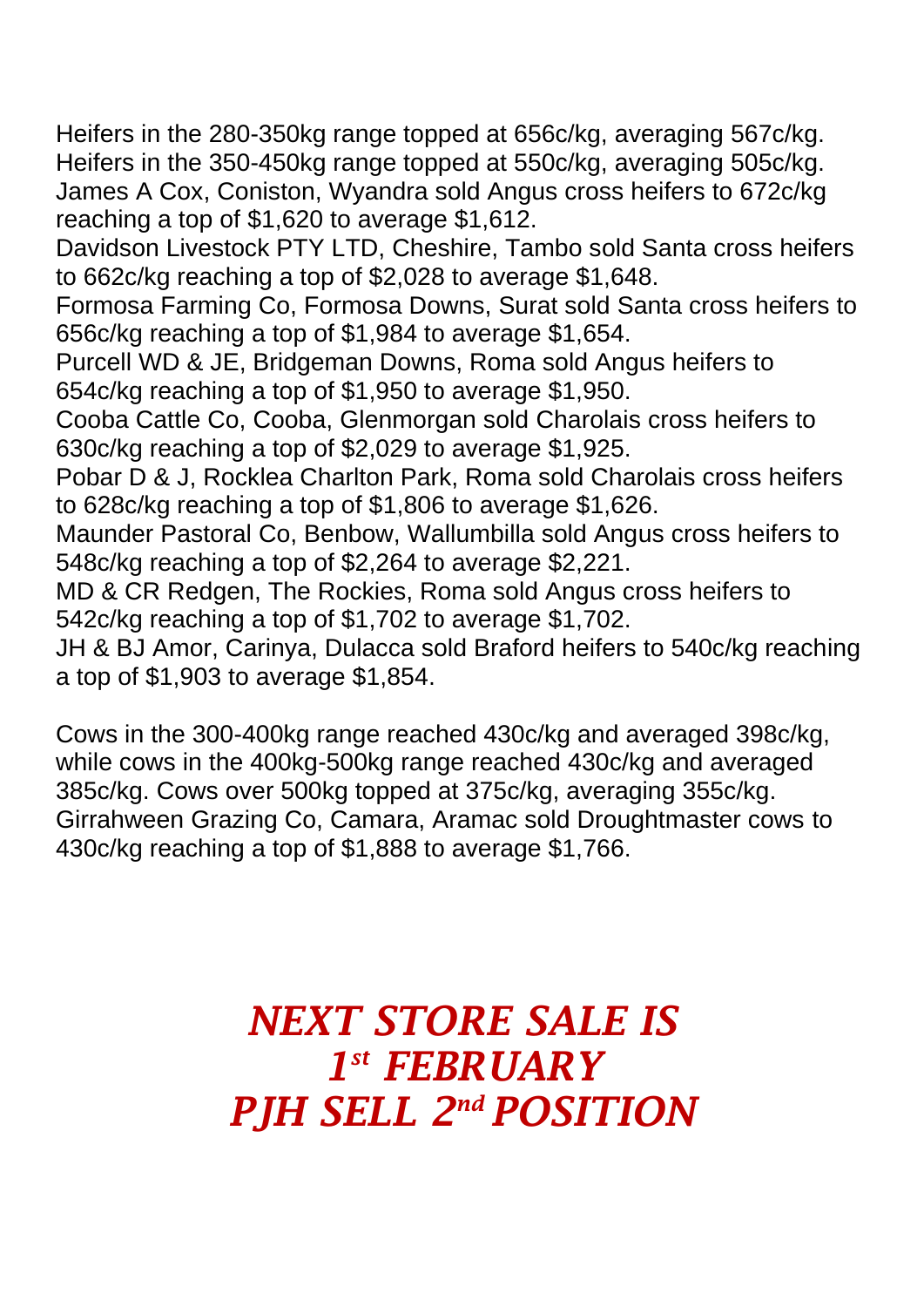Heifers in the 280-350kg range topped at 656c/kg, averaging 567c/kg.

Heifers in the 350-450kg range topped at 550c/kg, averaging 505c/kg. James A Cox, Coniston, Wyandra sold Angus cross heifers to 672c/kg reaching a top of \$1,620 to average \$1,612.

Davidson Livestock PTY LTD, Cheshire, Tambo sold Santa cross heifers to 662c/kg reaching a top of \$2,028 to average \$1,648.

Formosa Farming Co, Formosa Downs, Surat sold Santa cross heifers to 656c/kg reaching a top of \$1,984 to average \$1,654.

Purcell WD & JE, Bridgeman Downs, Roma sold Angus heifers to 654c/kg reaching a top of \$1,950 to average \$1,950.

Cooba Cattle Co, Cooba, Glenmorgan sold Charolais cross heifers to 630c/kg reaching a top of \$2,029 to average \$1,925.

Pobar D & J, Rocklea Charlton Park, Roma sold Charolais cross heifers to 628c/kg reaching a top of \$1,806 to average \$1,626.

Maunder Pastoral Co, Benbow, Wallumbilla sold Angus cross heifers to 548c/kg reaching a top of \$2,264 to average \$2,221.

MD & CR Redgen, The Rockies, Roma sold Angus cross heifers to 542c/kg reaching a top of \$1,702 to average \$1,702.

JH & BJ Amor, Carinya, Dulacca sold Braford heifers to 540c/kg reaching a top of \$1,903 to average \$1,854.

Cows in the 300-400kg range reached 430c/kg and averaged 398c/kg, while cows in the 400kg-500kg range reached 430c/kg and averaged 385c/kg. Cows over 500kg topped at 375c/kg, averaging 355c/kg. Girrahween Grazing Co, Camara, Aramac sold Droughtmaster cows to 430c/kg reaching a top of \$1,888 to average \$1,766.

## *NEXT STORE SALE IS 1 st FEBRUARY PJH SELL 2 nd POSITION*